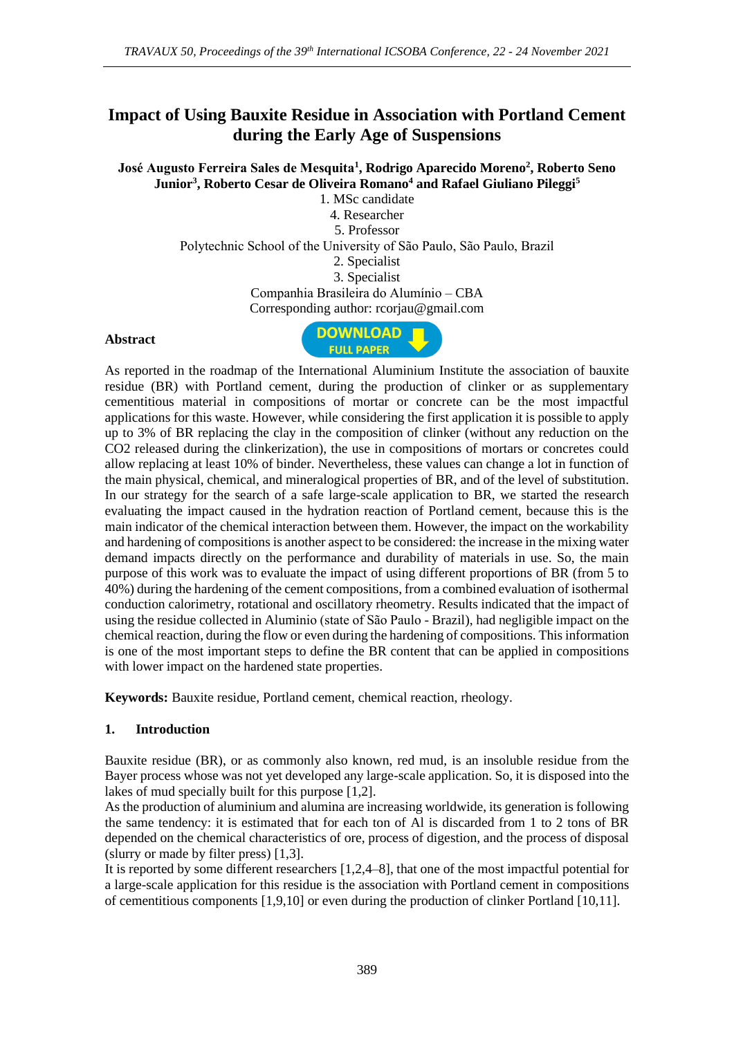# **Impact of Using Bauxite Residue in Association with Portland Cement during the Early Age of Suspensions**

**José Augusto Ferreira Sales de Mesquita<sup>1</sup> , Rodrigo Aparecido Moreno<sup>2</sup> , Roberto Seno Junior<sup>3</sup> , Roberto Cesar de Oliveira Romano<sup>4</sup> and Rafael Giuliano Pileggi<sup>5</sup>**

1. MSc candidate 4. Researcher 5. Professor

Polytechnic School of the University of São Paulo, São Paulo, Brazil

2. Specialist

3. Specialist

Companhia Brasileira do Alumínio – CBA

## Corresponding author: rcorjau@gmail.com

#### **Abstract**



As reported in the roadmap of the International Aluminium Institute the association of bauxite residue (BR) with Portland cement, during the production of clinker or as supplementary cementitious material in compositions of mortar or concrete can be the most impactful applications for this waste. However, while considering the first application it is possible to apply up to 3% of BR replacing the clay in the composition of clinker (without any reduction on the CO2 released during the clinkerization), the use in compositions of mortars or concretes could allow replacing at least 10% of binder. Nevertheless, these values can change a lot in function of the main physical, chemical, and mineralogical properties of BR, and of the level of substitution. In our strategy for the search of a safe large-scale application to BR, we started the research evaluating the impact caused in the hydration reaction of Portland cement, because this is the main indicator of the chemical interaction between them. However, the impact on the workability and hardening of compositions is another aspect to be considered: the increase in the mixing water demand impacts directly on the performance and durability of materials in use. So, the main purpose of this work was to evaluate the impact of using different proportions of BR (from 5 to 40%) during the hardening of the cement compositions, from a combined evaluation of isothermal conduction calorimetry, rotational and oscillatory rheometry. Results indicated that the impact of using the residue collected in Aluminio (state of São Paulo - Brazil), had negligible impact on the chemical reaction, during the flow or even during the hardening of compositions. This information is one of the most important steps to define the BR content that can be applied in compositions with lower impact on the hardened state properties.

**Keywords:** Bauxite residue, Portland cement, chemical reaction, rheology.

### **1. Introduction**

Bauxite residue (BR), or as commonly also known, red mud, is an insoluble residue from the Bayer process whose was not yet developed any large-scale application. So, it is disposed into the lakes of mud specially built for this purpose [1,2].

As the production of aluminium and alumina are increasing worldwide, its generation is following the same tendency: it is estimated that for each ton of Al is discarded from 1 to 2 tons of BR depended on the chemical characteristics of ore, process of digestion, and the process of disposal (slurry or made by filter press) [1,3].

It is reported by some different researchers [1,2,4–8], that one of the most impactful potential for a large-scale application for this residue is the association with Portland cement in compositions of cementitious components [1,9,10] or even during the production of clinker Portland [10,11].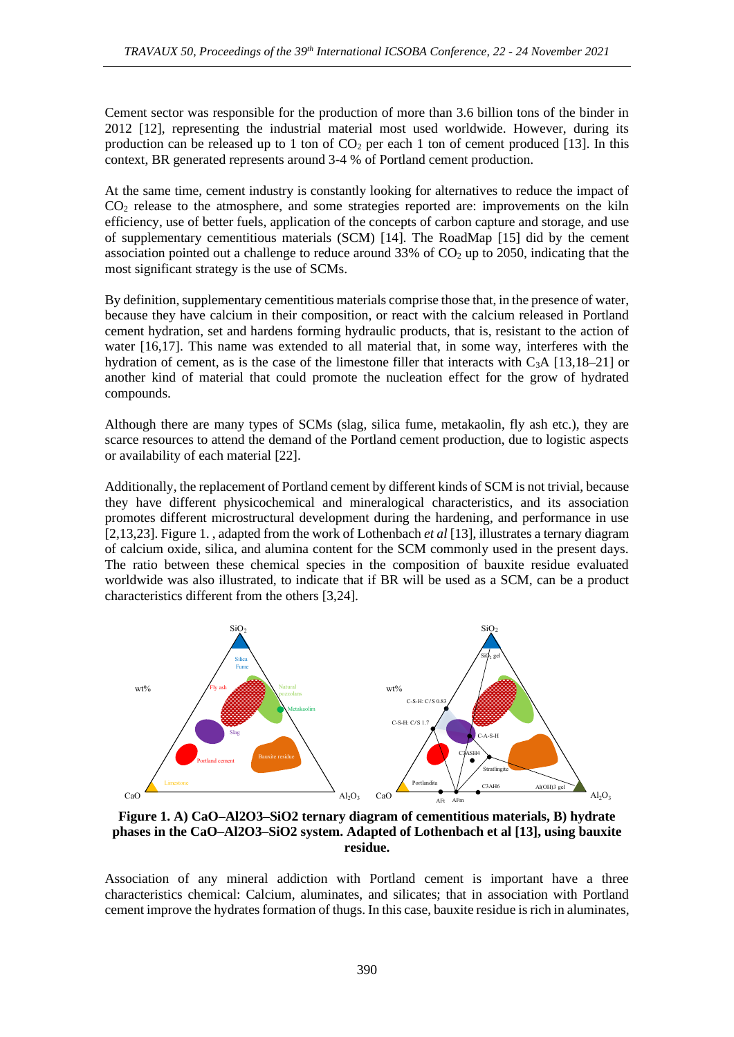Cement sector was responsible for the production of more than 3.6 billion tons of the binder in 2012 [12], representing the industrial material most used worldwide. However, during its production can be released up to 1 ton of  $CO<sub>2</sub>$  per each 1 ton of cement produced [13]. In this context, BR generated represents around 3-4 % of Portland cement production.

At the same time, cement industry is constantly looking for alternatives to reduce the impact of CO<sup>2</sup> release to the atmosphere, and some strategies reported are: improvements on the kiln efficiency, use of better fuels, application of the concepts of carbon capture and storage, and use of supplementary cementitious materials (SCM) [14]. The RoadMap [15] did by the cement association pointed out a challenge to reduce around  $33\%$  of CO<sub>2</sub> up to 2050, indicating that the most significant strategy is the use of SCMs.

By definition, supplementary cementitious materials comprise those that, in the presence of water, because they have calcium in their composition, or react with the calcium released in Portland cement hydration, set and hardens forming hydraulic products, that is, resistant to the action of water [16,17]. This name was extended to all material that, in some way, interferes with the hydration of cement, as is the case of the limestone filler that interacts with  $C_3A$  [13,18–21] or another kind of material that could promote the nucleation effect for the grow of hydrated compounds.

Although there are many types of SCMs (slag, silica fume, metakaolin, fly ash etc.), they are scarce resources to attend the demand of the Portland cement production, due to logistic aspects or availability of each material [22].

Additionally, the replacement of Portland cement by different kinds of SCM is not trivial, because they have different physicochemical and mineralogical characteristics, and its association promotes different microstructural development during the hardening, and performance in use [2,13,23][. Figure](#page-1-0) 1. , adapted from the work of Lothenbach *et al* [13], illustrates a ternary diagram of calcium oxide, silica, and alumina content for the SCM commonly used in the present days. The ratio between these chemical species in the composition of bauxite residue evaluated worldwide was also illustrated, to indicate that if BR will be used as a SCM, can be a product characteristics different from the others [3,24].



<span id="page-1-0"></span>**Figure 1. A) CaO–Al2O3–SiO2 ternary diagram of cementitious materials, B) hydrate phases in the CaO–Al2O3–SiO2 system. Adapted of Lothenbach et al [13], using bauxite residue.**

Association of any mineral addiction with Portland cement is important have a three characteristics chemical: Calcium, aluminates, and silicates; that in association with Portland cement improve the hydrates formation of thugs. In this case, bauxite residue is rich in aluminates,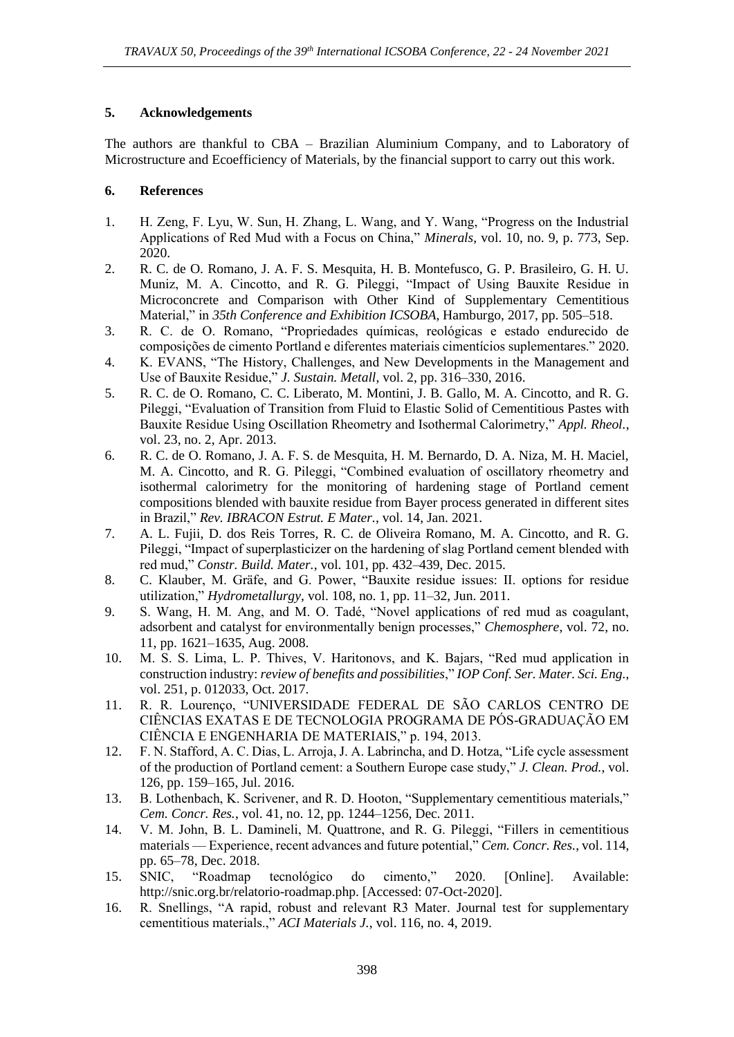### **5. Acknowledgements**

The authors are thankful to CBA – Brazilian Aluminium Company, and to Laboratory of Microstructure and Ecoefficiency of Materials, by the financial support to carry out this work.

### **6. References**

- 1. H. Zeng, F. Lyu, W. Sun, H. Zhang, L. Wang, and Y. Wang, "Progress on the Industrial Applications of Red Mud with a Focus on China," *Minerals*, vol. 10, no. 9, p. 773, Sep. 2020.
- 2. R. C. de O. Romano, J. A. F. S. Mesquita, H. B. Montefusco, G. P. Brasileiro, G. H. U. Muniz, M. A. Cincotto, and R. G. Pileggi, "Impact of Using Bauxite Residue in Microconcrete and Comparison with Other Kind of Supplementary Cementitious Material," in *35th Conference and Exhibition ICSOBA*, Hamburgo, 2017, pp. 505–518.
- 3. R. C. de O. Romano, "Propriedades químicas, reológicas e estado endurecido de composições de cimento Portland e diferentes materiais cimentícios suplementares." 2020.
- 4. K. EVANS, "The History, Challenges, and New Developments in the Management and Use of Bauxite Residue," *J. Sustain. Metall*, vol. 2, pp. 316–330, 2016.
- 5. R. C. de O. Romano, C. C. Liberato, M. Montini, J. B. Gallo, M. A. Cincotto, and R. G. Pileggi, "Evaluation of Transition from Fluid to Elastic Solid of Cementitious Pastes with Bauxite Residue Using Oscillation Rheometry and Isothermal Calorimetry," *Appl. Rheol.*, vol. 23, no. 2, Apr. 2013.
- 6. R. C. de O. Romano, J. A. F. S. de Mesquita, H. M. Bernardo, D. A. Niza, M. H. Maciel, M. A. Cincotto, and R. G. Pileggi, "Combined evaluation of oscillatory rheometry and isothermal calorimetry for the monitoring of hardening stage of Portland cement compositions blended with bauxite residue from Bayer process generated in different sites in Brazil," *Rev. IBRACON Estrut. E Mater.*, vol. 14, Jan. 2021.
- 7. A. L. Fujii, D. dos Reis Torres, R. C. de Oliveira Romano, M. A. Cincotto, and R. G. Pileggi, "Impact of superplasticizer on the hardening of slag Portland cement blended with red mud," *Constr. Build. Mater.*, vol. 101, pp. 432–439, Dec. 2015.
- 8. C. Klauber, M. Gräfe, and G. Power, "Bauxite residue issues: II. options for residue utilization," *Hydrometallurgy*, vol. 108, no. 1, pp. 11–32, Jun. 2011.
- 9. S. Wang, H. M. Ang, and M. O. Tadé, "Novel applications of red mud as coagulant, adsorbent and catalyst for environmentally benign processes," *Chemosphere*, vol. 72, no. 11, pp. 1621–1635, Aug. 2008.
- 10. M. S. S. Lima, L. P. Thives, V. Haritonovs, and K. Bajars, "Red mud application in construction industry: *review of benefits and possibilities*," *IOP Conf. Ser. Mater. Sci. Eng.*, vol. 251, p. 012033, Oct. 2017.
- 11. R. R. Lourenço, "UNIVERSIDADE FEDERAL DE SÃO CARLOS CENTRO DE CIÊNCIAS EXATAS E DE TECNOLOGIA PROGRAMA DE PÓS-GRADUAÇÃO EM CIÊNCIA E ENGENHARIA DE MATERIAIS," p. 194, 2013.
- 12. F. N. Stafford, A. C. Dias, L. Arroja, J. A. Labrincha, and D. Hotza, "Life cycle assessment of the production of Portland cement: a Southern Europe case study," *J. Clean. Prod.*, vol. 126, pp. 159–165, Jul. 2016.
- 13. B. Lothenbach, K. Scrivener, and R. D. Hooton, "Supplementary cementitious materials," *Cem. Concr. Res.*, vol. 41, no. 12, pp. 1244–1256, Dec. 2011.
- 14. V. M. John, B. L. Damineli, M. Quattrone, and R. G. Pileggi, "Fillers in cementitious materials — Experience, recent advances and future potential," *Cem. Concr. Res.*, vol. 114, pp. 65–78, Dec. 2018.
- 15. SNIC, "Roadmap tecnológico do cimento," 2020. [Online]. Available: http://snic.org.br/relatorio-roadmap.php. [Accessed: 07-Oct-2020].
- 16. R. Snellings, "A rapid, robust and relevant R3 Mater. Journal test for supplementary cementitious materials.," *ACI Materials J.*, vol. 116, no. 4, 2019.